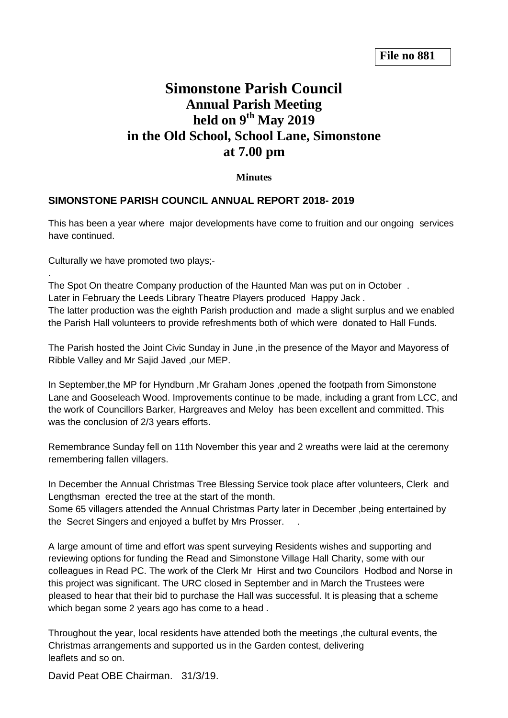## **Simonstone Parish Council Annual Parish Meeting held on 9 th May 2019 in the Old School, School Lane, Simonstone at 7.00 pm**

**Minutes**

## **SIMONSTONE PARISH COUNCIL ANNUAL REPORT 2018- 2019**

This has been a year where major developments have come to fruition and our ongoing services have continued.

Culturally we have promoted two plays;-

.

The Spot On theatre Company production of the Haunted Man was put on in October . Later in February the Leeds Library Theatre Players produced Happy Jack . The latter production was the eighth Parish production and made a slight surplus and we enabled the Parish Hall volunteers to provide refreshments both of which were donated to Hall Funds.

The Parish hosted the Joint Civic Sunday in June ,in the presence of the Mayor and Mayoress of Ribble Valley and Mr Sajid Javed ,our MEP.

In September,the MP for Hyndburn ,Mr Graham Jones ,opened the footpath from Simonstone Lane and Gooseleach Wood. Improvements continue to be made, including a grant from LCC, and the work of Councillors Barker, Hargreaves and Meloy has been excellent and committed. This was the conclusion of 2/3 years efforts.

Remembrance Sunday fell on 11th November this year and 2 wreaths were laid at the ceremony remembering fallen villagers.

In December the Annual Christmas Tree Blessing Service took place after volunteers, Clerk and Lengthsman erected the tree at the start of the month.

Some 65 villagers attended the Annual Christmas Party later in December ,being entertained by the Secret Singers and enjoyed a buffet by Mrs Prosser. .

A large amount of time and effort was spent surveying Residents wishes and supporting and reviewing options for funding the Read and Simonstone Village Hall Charity, some with our colleagues in Read PC. The work of the Clerk Mr Hirst and two Councilors Hodbod and Norse in this project was significant. The URC closed in September and in March the Trustees were pleased to hear that their bid to purchase the Hall was successful. It is pleasing that a scheme which began some 2 years ago has come to a head .

Throughout the year, local residents have attended both the meetings ,the cultural events, the Christmas arrangements and supported us in the Garden contest, delivering leaflets and so on.

David Peat OBE Chairman. 31/3/19.